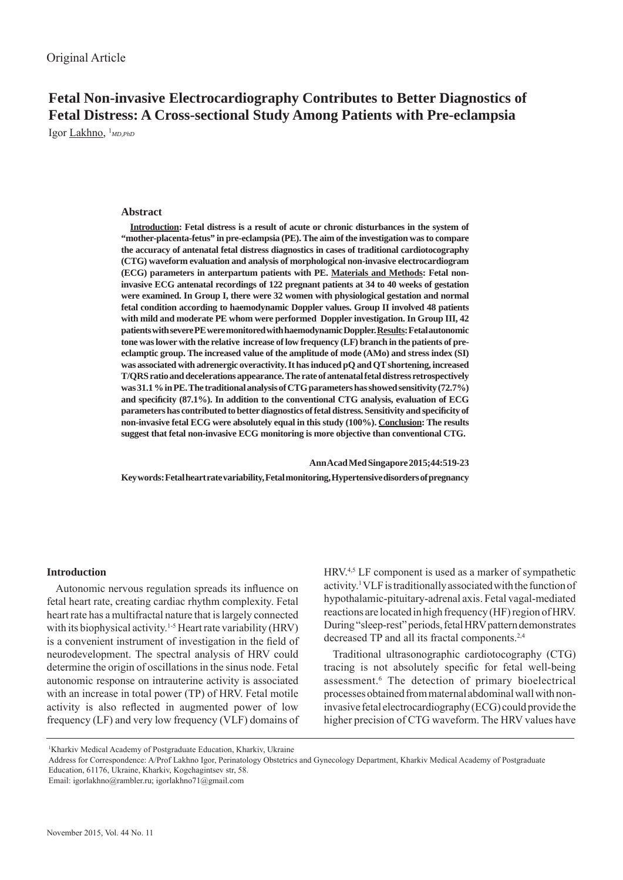# **Fetal Non-invasive Electrocardiography Contributes to Better Diagnostics of Fetal Distress: A Cross-sectional Study Among Patients with Pre-eclampsia**

Igor Lakhno, 1 *MD,PhD*

# **Abstract**

**Introduction: Fetal distress is a result of acute or chronic disturbances in the system of "mother-placenta-fetus" in pre-eclampsia (PE). The aim of the investigation was to compare the accuracy of antenatal fetal distress diagnostics in cases of traditional cardiotocography (CTG) waveform evaluation and analysis of morphological non-invasive electrocardiogram (ECG) parameters in anterpartum patients with PE. Materials and Methods: Fetal noninvasive ECG antenatal recordings of 122 pregnant patients at 34 to 40 weeks of gestation were examined. In Group I, there were 32 women with physiological gestation and normal fetal condition according to haemodynamic Doppler values. Group II involved 48 patients with mild and moderate PE whom were performed Doppler investigation. In Group III, 42 patients with severe PE were monitored with haemodynamic Doppler. Results: Fetal autonomic tone was lower with the relative increase of low frequency (LF) branch in the patients of preeclamptic group. The increased value of the amplitude of mode (AMo) and stress index (SI) was associated with adrenergic overactivity. It has induced pQ and QT shortening, increased T/QRS ratio and decelerations appearance. The rate of antenatal fetal distress retrospectively was 31.1 % in PE. The traditional analysis of CTG parameters has showed sensitivity (72.7%) and specifi city (87.1%). In addition to the conventional CTG analysis, evaluation of ECG parameters has contributed to better diagnostics of fetal distress. Sensitivity and specifi city of non-invasive fetal ECG were absolutely equal in this study (100%). Conclusion: The results suggest that fetal non-invasive ECG monitoring is more objective than conventional CTG.** 

 **Ann Acad Med Singapore 2015;44:519-23 Key words: Fetal heart rate variability, Fetal monitoring, Hypertensive disorders of pregnancy**

# **Introduction**

Autonomic nervous regulation spreads its influence on fetal heart rate, creating cardiac rhythm complexity. Fetal heart rate has a multifractal nature that is largely connected with its biophysical activity.<sup>1-5</sup> Heart rate variability (HRV) is a convenient instrument of investigation in the field of neurodevelopment. The spectral analysis of HRV could determine the origin of oscillations in the sinus node. Fetal autonomic response on intrauterine activity is associated with an increase in total power (TP) of HRV. Fetal motile activity is also reflected in augmented power of low frequency (LF) and very low frequency (VLF) domains of HRV.4,5 LF component is used as a marker of sympathetic activity.1 VLF is traditionally associated with the function of hypothalamic-pituitary-adrenal axis. Fetal vagal-mediated reactions are located in high frequency (HF) region of HRV. During "sleep-rest" periods, fetal HRV pattern demonstrates decreased TP and all its fractal components.2,4

Traditional ultrasonographic cardiotocography (CTG) tracing is not absolutely specific for fetal well-being assessment.6 The detection of primary bioelectrical processes obtained from maternal abdominal wall with noninvasive fetal electrocardiography (ECG) could provide the higher precision of CTG waveform. The HRV values have

<sup>1</sup> Kharkiv Medical Academy of Postgraduate Education, Kharkiv, Ukraine

Address for Correspondence: A/Prof Lakhno Igor, Perinatology Obstetrics and Gynecology Department, Kharkiv Medical Academy of Postgraduate Education, 61176, Ukraine, Kharkiv, Kogchagintsev str, 58.

Email: igorlakhno@rambler.ru; igorlakhno71@gmail.com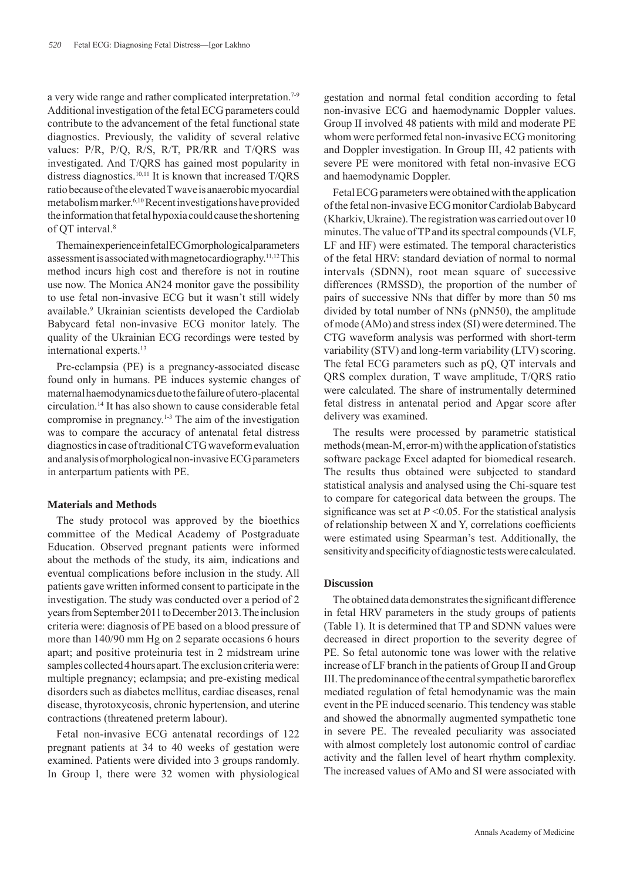a very wide range and rather complicated interpretation.<sup>7-9</sup> Additional investigation of the fetal ECG parameters could contribute to the advancement of the fetal functional state diagnostics. Previously, the validity of several relative values: P/R, P/Q, R/S, R/T, PR/RR and T/QRS was investigated. And T/QRS has gained most popularity in distress diagnostics.<sup>10,11</sup> It is known that increased T/QRS ratio because of the elevated T wave is anaerobic myocardial metabolism marker.6,10 Recent investigations have provided the information that fetal hypoxia could cause the shortening of OT interval.<sup>8</sup>

The main experience in fetal ECG morphological parameters assessment is associated with magnetocardiography.<sup>11,12</sup>This method incurs high cost and therefore is not in routine use now. The Monica AN24 monitor gave the possibility to use fetal non-invasive ECG but it wasn't still widely available.<sup>9</sup> Ukrainian scientists developed the Cardiolab Babycard fetal non-invasive ECG monitor lately. The quality of the Ukrainian ECG recordings were tested by international experts.<sup>13</sup>

Pre-eclampsia (PE) is a pregnancy-associated disease found only in humans. PE induces systemic changes of maternal haemodynamics due to the failure of utero-placental circulation.14 It has also shown to cause considerable fetal compromise in pregnancy.<sup>1-3</sup> The aim of the investigation was to compare the accuracy of antenatal fetal distress diagnostics in case of traditional CTG waveform evaluation and analysis of morphological non-invasive ECG parameters in anterpartum patients with PE.

### **Materials and Methods**

The study protocol was approved by the bioethics committee of the Medical Academy of Postgraduate Education. Observed pregnant patients were informed about the methods of the study, its aim, indications and eventual complications before inclusion in the study. All patients gave written informed consent to participate in the investigation. The study was conducted over a period of 2 years from September 2011 to December 2013. The inclusion criteria were: diagnosis of PE based on a blood pressure of more than 140/90 mm Hg on 2 separate occasions 6 hours apart; and positive proteinuria test in 2 midstream urine samples collected 4 hours apart. The exclusion criteria were: multiple pregnancy; eclampsia; and pre-existing medical disorders such as diabetes mellitus, cardiac diseases, renal disease, thyrotoxycosis, chronic hypertension, and uterine contractions (threatened preterm labour).

Fetal non-invasive ECG antenatal recordings of 122 pregnant patients at 34 to 40 weeks of gestation were examined. Patients were divided into 3 groups randomly. In Group I, there were 32 women with physiological gestation and normal fetal condition according to fetal non-invasive ECG and haemodynamic Doppler values. Group II involved 48 patients with mild and moderate PE whom were performed fetal non-invasive ECG monitoring and Doppler investigation. In Group III, 42 patients with severe PE were monitored with fetal non-invasive ECG and haemodynamic Doppler.

Fetal ECG parameters were obtained with the application of the fetal non-invasive ECG monitor Cardiolab Babycard (Kharkiv, Ukraine). The registration was carried out over 10 minutes. The value of TP and its spectral compounds (VLF, LF and HF) were estimated. The temporal characteristics of the fetal HRV: standard deviation of normal to normal intervals (SDNN), root mean square of successive differences (RMSSD), the proportion of the number of pairs of successive NNs that differ by more than 50 ms divided by total number of NNs (pNN50), the amplitude of mode (AMo) and stress index (SI) were determined. The CTG waveform analysis was performed with short-term variability (STV) and long-term variability (LTV) scoring. The fetal ECG parameters such as pQ, QT intervals and QRS complex duration, T wave amplitude, T/QRS ratio were calculated. The share of instrumentally determined fetal distress in antenatal period and Apgar score after delivery was examined.

The results were processed by parametric statistical methods (mean-M, error-m) with the application of statistics software package Excel adapted for biomedical research. The results thus obtained were subjected to standard statistical analysis and analysed using the Chi-square test to compare for categorical data between the groups. The significance was set at  $P \le 0.05$ . For the statistical analysis of relationship between  $X$  and  $Y$ , correlations coefficients were estimated using Spearman's test. Additionally, the sensitivity and specificity of diagnostic tests were calculated.

## **Discussion**

The obtained data demonstrates the significant difference in fetal HRV parameters in the study groups of patients (Table 1). It is determined that TP and SDNN values were decreased in direct proportion to the severity degree of PE. So fetal autonomic tone was lower with the relative increase of LF branch in the patients of Group II and Group III. The predominance of the central sympathetic baroreflex mediated regulation of fetal hemodynamic was the main event in the PE induced scenario. This tendency was stable and showed the abnormally augmented sympathetic tone in severe PE. The revealed peculiarity was associated with almost completely lost autonomic control of cardiac activity and the fallen level of heart rhythm complexity. The increased values of AMo and SI were associated with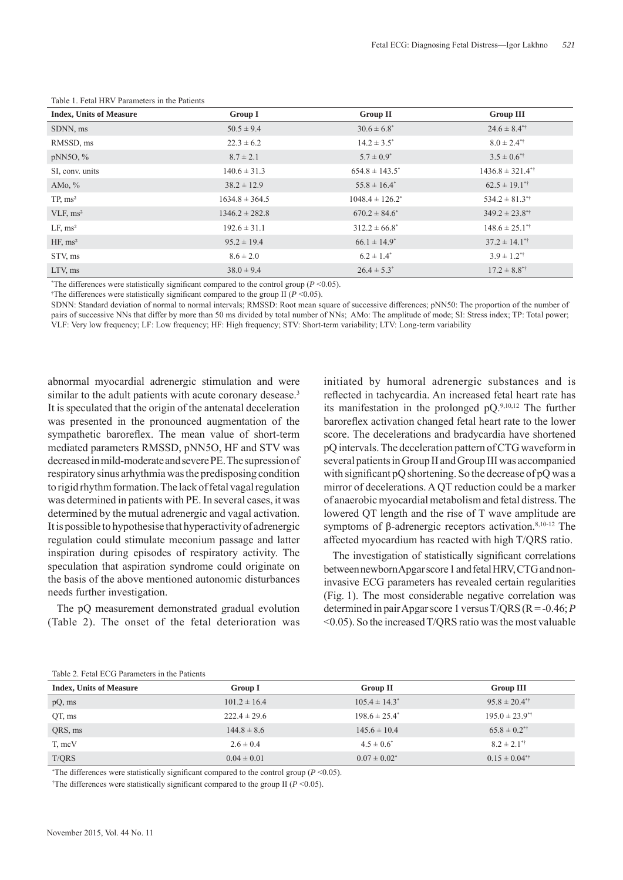| <b>Index, Units of Measure</b> | <b>Group I</b>     | <b>Group II</b>      | <b>Group III</b>                 |
|--------------------------------|--------------------|----------------------|----------------------------------|
| SDNN, ms                       | $50.5 \pm 9.4$     | $30.6 \pm 6.8^*$     | $24.6 \pm 8.4$ <sup>**</sup>     |
| RMSSD, ms                      | $22.3 \pm 6.2$     | $14.2 \pm 3.5^*$     | $8.0 \pm 2.4$ <sup>**</sup>      |
| $pNN5O, \%$                    | $8.7 \pm 2.1$      | $5.7 \pm 0.9^*$      | $3.5 \pm 0.6$ <sup>**</sup>      |
| SI, conv. units                | $140.6 \pm 31.3$   | $654.8 \pm 143.5^*$  | $1436.8 \pm 321.4$ <sup>**</sup> |
| AM $o, \%$                     | $38.2 \pm 12.9$    | $55.8 \pm 16.4^*$    | $62.5 \pm 19.1$ <sup>**</sup>    |
| TP, ms <sup>2</sup>            | $1634.8 \pm 364.5$ | $1048.4 \pm 126.2^*$ | $534.2 \pm 81.3$ <sup>**</sup>   |
| VLF, ms <sup>2</sup>           | $1346.2 \pm 282.8$ | $670.2 \pm 84.6^*$   | $349.2 \pm 23.8$ <sup>**</sup>   |
| LF, ms <sup>2</sup>            | $192.6 \pm 31.1$   | $312.2 \pm 66.8^*$   | $148.6 \pm 25.1$ <sup>**</sup>   |
| HF, ms <sup>2</sup>            | $95.2 \pm 19.4$    | $66.1 \pm 14.9^*$    | $37.2 \pm 14.1$ <sup>**</sup>    |
| STV, ms                        | $8.6 \pm 2.0$      | $6.2 \pm 1.4^*$      | $3.9 \pm 1.2$ <sup>*†</sup>      |
| LTV, ms                        | $38.0 \pm 9.4$     | $26.4 \pm 5.3^*$     | $17.2 \pm 8.8$ <sup>**</sup>     |

Table 1. Fetal HRV Parameters in the Patients

\*The differences were statistically significant compared to the control group  $(P \le 0.05)$ .

<sup>†</sup>The differences were statistically significant compared to the group II ( $P$  <0.05).

SDNN: Standard deviation of normal to normal intervals; RMSSD: Root mean square of successive differences; pNN50: The proportion of the number of pairs of successive NNs that differ by more than 50 ms divided by total number of NNs; AMo: The amplitude of mode; SI: Stress index; TP: Total power; VLF: Very low frequency; LF: Low frequency; HF: High frequency; STV: Short-term variability; LTV: Long-term variability

abnormal myocardial adrenergic stimulation and were similar to the adult patients with acute coronary desease.<sup>3</sup> It is speculated that the origin of the antenatal deceleration was presented in the pronounced augmentation of the sympathetic baroreflex. The mean value of short-term mediated parameters RMSSD, pNN5O, HF and STV was decreased in mild-moderate and severe PE. The supression of respiratory sinus arhythmia was the predisposing condition to rigid rhythm formation. The lack of fetal vagal regulation was determined in patients with PE. In several cases, it was determined by the mutual adrenergic and vagal activation. It is possible to hypothesise that hyperactivity of adrenergic regulation could stimulate meconium passage and latter inspiration during episodes of respiratory activity. The speculation that aspiration syndrome could originate on the basis of the above mentioned autonomic disturbances needs further investigation.

The pQ measurement demonstrated gradual evolution (Table 2). The onset of the fetal deterioration was initiated by humoral adrenergic substances and is reflected in tachycardia. An increased fetal heart rate has its manifestation in the prolonged pQ.9,10,12 The further baroreflex activation changed fetal heart rate to the lower score. The decelerations and bradycardia have shortened pQ intervals. The deceleration pattern of CTG waveform in several patients in Group II and Group III was accompanied with significant  $pQ$  shortening. So the decrease of  $pQ$  was a mirror of decelerations. A QT reduction could be a marker of anaerobic myocardial metabolism and fetal distress. The lowered QT length and the rise of T wave amplitude are symptoms of β-adrenergic receptors activation.<sup>8,10-12</sup> The affected myocardium has reacted with high T/QRS ratio.

The investigation of statistically significant correlations between newborn Apgar score 1 and fetal HRV, CTG and noninvasive ECG parameters has revealed certain regularities (Fig. 1). The most considerable negative correlation was determined in pair Apgar score 1 versus T/QRS (R = -0.46; *P*  <0.05). So the increased T/QRS ratio was the most valuable

| Table 2. I clare ECO Talameters in the Fationis |                  |                    |                                |  |
|-------------------------------------------------|------------------|--------------------|--------------------------------|--|
| <b>Index, Units of Measure</b>                  | <b>Group I</b>   | <b>Group II</b>    | <b>Group III</b>               |  |
| $pQ$ , ms                                       | $101.2 \pm 16.4$ | $105.4 \pm 14.3^*$ | $95.8 \pm 20.4$ <sup>**</sup>  |  |
| QT, ms                                          | $222.4 \pm 29.6$ | $198.6 \pm 25.4^*$ | $195.0 \pm 23.9$ <sup>**</sup> |  |
| QRS, ms                                         | $144.8 \pm 8.6$  | $145.6 \pm 10.4$   | $65.8 \pm 0.2$ <sup>**</sup>   |  |
| T, mcV                                          | $2.6 \pm 0.4$    | $4.5 \pm 0.6^*$    | $8.2 \pm 2.1$ <sup>**</sup>    |  |
| T/QRS                                           | $0.04 \pm 0.01$  | $0.07 \pm 0.02^*$  | $0.15 \pm 0.04$ <sup>**</sup>  |  |

Table 2. Fetal ECG Parameters in the Patients

*\**The differences were statistically significant compared to the control group ( $P \le 0.05$ ).

<sup>†</sup>The differences were statistically significant compared to the group II ( $P$  <0.05).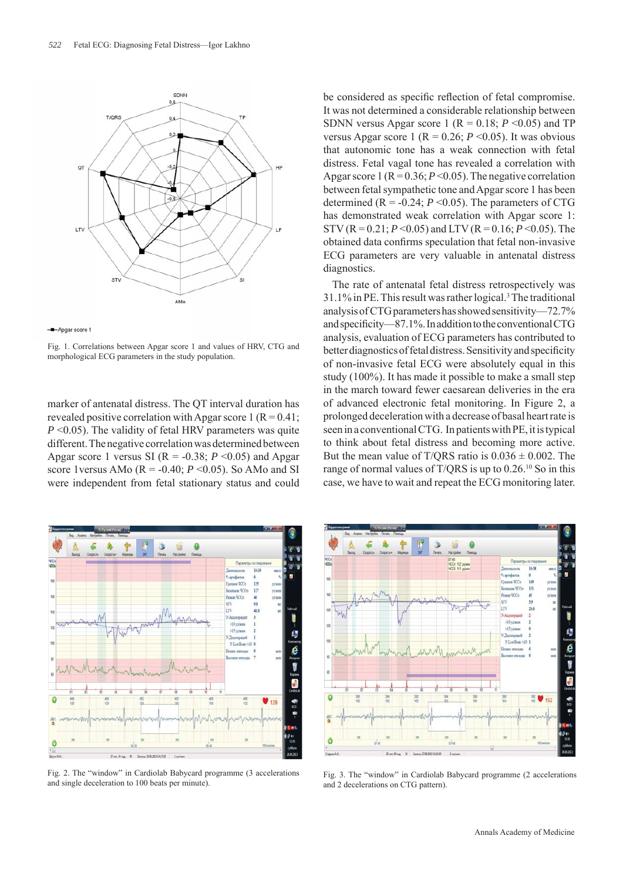

-D-Apgar score 1

Fig. 1. Correlations between Apgar score 1 and values of HRV, CTG and morphological ECG parameters in the study population.

marker of antenatal distress. The QT interval duration has revealed positive correlation with Apgar score 1 ( $R = 0.41$ ; *P* <0.05). The validity of fetal HRV parameters was quite different. The negative correlation was determined between Apgar score 1 versus SI ( $R = -0.38$ ;  $P \le 0.05$ ) and Apgar score 1 versus AMo ( $R = -0.40$ ;  $P \le 0.05$ ). So AMo and SI were independent from fetal stationary status and could



Fig. 2. The "window" in Cardiolab Babycard programme (3 accelerations and single deceleration to 100 beats per minute).

be considered as specific reflection of fetal compromise. It was not determined a considerable relationship between SDNN versus Apgar score 1 ( $R = 0.18$ ;  $P \le 0.05$ ) and TP versus Apgar score 1 ( $R = 0.26$ ;  $P \le 0.05$ ). It was obvious that autonomic tone has a weak connection with fetal distress. Fetal vagal tone has revealed a correlation with Apgar score 1 ( $R = 0.36$ ;  $P < 0.05$ ). The negative correlation between fetal sympathetic tone and Apgar score 1 has been determined  $(R = -0.24; P \le 0.05)$ . The parameters of CTG has demonstrated weak correlation with Apgar score 1: STV (R = 0.21;  $P \le 0.05$ ) and LTV (R = 0.16;  $P \le 0.05$ ). The obtained data confirms speculation that fetal non-invasive ECG parameters are very valuable in antenatal distress diagnostics.

The rate of antenatal fetal distress retrospectively was 31.1% in PE. This result was rather logical.3 The traditional analysis of CTG parameters has showed sensitivity—72.7% and specificity—87.1%. In addition to the conventional CTG analysis, evaluation of ECG parameters has contributed to better diagnostics of fetal distress. Sensitivity and specificity of non-invasive fetal ECG were absolutely equal in this study (100%). It has made it possible to make a small step in the march toward fewer caesarean deliveries in the era of advanced electronic fetal monitoring. In Figure 2, a prolonged deceleration with a decrease of basal heart rate is seen in a conventional CTG. In patients with PE, it is typical to think about fetal distress and becoming more active. But the mean value of T/QRS ratio is  $0.036 \pm 0.002$ . The range of normal values of T/QRS is up to 0.26.10 So in this case, we have to wait and repeat the ECG monitoring later.



Fig. 3. The "window" in Cardiolab Babycard programme (2 accelerations and 2 decelerations on CTG pattern).